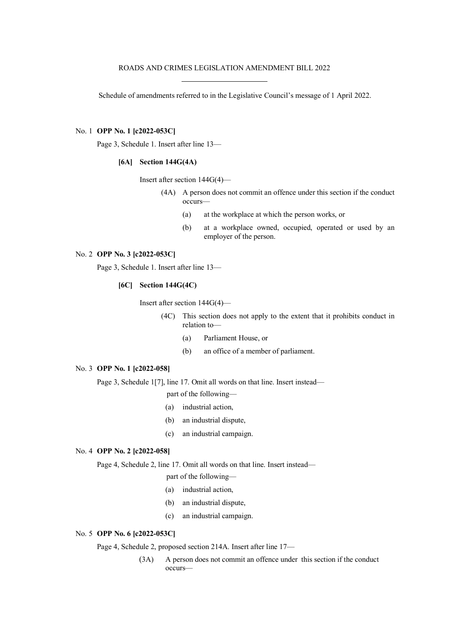Schedule of amendments referred to in the Legislative Council's message of 1 April 2022.

### No. 1 **OPP No. 1 [c2022-053C]**

Page 3, Schedule 1. Insert after line 13—

# **[6A] Section 144G(4A)**

Insert after section 144G(4)—

- (4A) A person does not commit an offence under this section if the conduct occurs—
	- (a) at the workplace at which the person works, or
	- (b) at a workplace owned, occupied, operated or used by an employer of the person.

# No. 2 **OPP No. 3 [c2022-053C]**

Page 3, Schedule 1. Insert after line 13—

#### **[6C] Section 144G(4C)**

Insert after section 144G(4)—

- (4C) This section does not apply to the extent that it prohibits conduct in relation to—
	- (a) Parliament House, or
	- (b) an office of a member of parliament.

### No. 3 **OPP No. 1 [c2022-058]**

Page 3, Schedule 1[7], line 17. Omit all words on that line. Insert instead—

- part of the following—
- (a) industrial action,
- (b) an industrial dispute,
- (c) an industrial campaign.

#### No. 4 **OPP No. 2 [c2022-058]**

Page 4, Schedule 2, line 17. Omit all words on that line. Insert instead—

- part of the following—
- (a) industrial action,
- (b) an industrial dispute,
- (c) an industrial campaign.

# No. 5 **OPP No. 6 [c2022-053C]**

Page 4, Schedule 2, proposed section 214A. Insert after line 17—

(3A) A person does not commit an offence under this section if the conduct occurs—